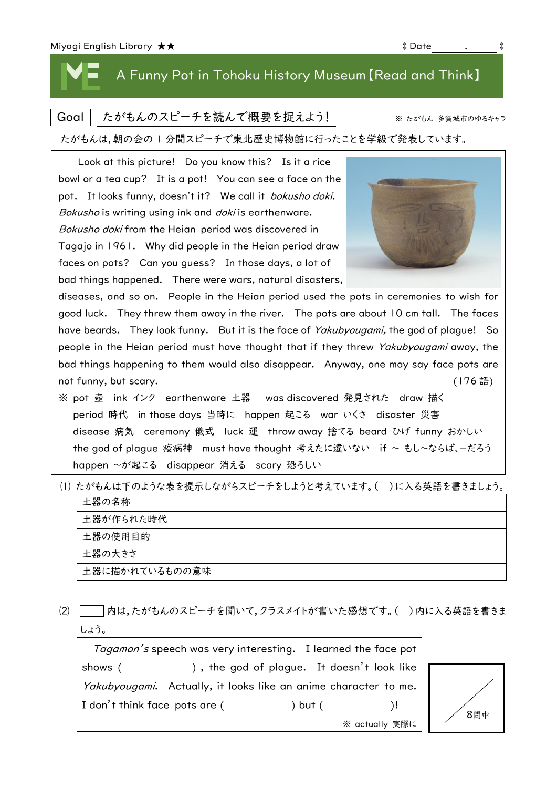# A Funny Pot in Tohoku History Museum【Read and Think】

### Goal | たがもんのスピーチを読んで概要を捉えよう! ※ たがもん 多賀城市のゆるキャラ

#### たがもんは,朝の会の 1 分間スピーチで東北歴史博物館に行ったことを学級で発表しています。

| Look at this picture! Do you know this? Is it a rice                                    |        |  |  |  |
|-----------------------------------------------------------------------------------------|--------|--|--|--|
| bowl or a tea cup? It is a pot! You can see a face on the                               |        |  |  |  |
| pot. It looks funny, doesn't it? We call it <i>bokusho doki</i> .                       |        |  |  |  |
| Bokusho is writing using ink and <i>doki</i> is earthenware.                            |        |  |  |  |
| Bokusho doki from the Heian period was discovered in                                    |        |  |  |  |
| Tagajo in 1961. Why did people in the Heian period draw                                 |        |  |  |  |
| faces on pots? Can you guess? In those days, a lot of                                   |        |  |  |  |
| bad things happened. There were wars, natural disasters,                                |        |  |  |  |
| diseases, and so on. People in the Heian period used the pots in ceremonies to wish for |        |  |  |  |
| good luck. They threw them away in the river. The pots are about 10 cm tall. The faces  |        |  |  |  |
| have beards. They look funny. But it is the face of Yakubyougami, the god of plague! So |        |  |  |  |
| people in the Heian period must have thought that if they threw Yakubyougami away, the  |        |  |  |  |
| bad things happening to them would also disappear. Anyway, one may say face pots are    |        |  |  |  |
| not funny, but scary.                                                                   | (176語) |  |  |  |
| ※ pot 壺 ink インク earthenware 土器  was discovered 発見された draw 描く                            |        |  |  |  |
| period 時代 in those days 当時に happen 起こる war いくさ disaster 災害                              |        |  |  |  |
| disease 病気 ceremony 儀式 luck 運 throw away 捨てる beard ひげ funny おかしい                        |        |  |  |  |
| the god of plague 疫病神 must have thought 考えたに違いない if ~ もし~ならば、ーだろう                       |        |  |  |  |

happen ~が起こる disappear 消える scary 恐ろしい

|  | (l)たがもんは下のような表を提示しながらスピーチをしようと考えています。(  ) に入る英語を書きましょう。 |  |
|--|---------------------------------------------------------|--|
|  |                                                         |  |

| 土器の名称          |  |
|----------------|--|
| 土器が作られた時代      |  |
| 土器の使用目的        |  |
| 土器の大きさ         |  |
| 土器に描かれているものの意味 |  |

⑵ 内は,たがもんのスピーチを聞いて,クラスメイトが書いた感想です。( )内に入る英語を書きま しょう。

Tagamon's speech was very interesting. I learned the face pot shows ( ), the god of plague. It doesn't look like Yakubyougami. Actually, it looks like an anime character to me. I don't think face pots are ( ) but ( )!

※ actually 実際に



| $\frac{1}{2}$ point 2. To one form $\frac{1}{2}$ , as soon find the set |
|-------------------------------------------------------------------------|
| Bokusho is writing using ink and <i>doki</i> is                         |
| Bokusho doki from the Heian period wa                                   |